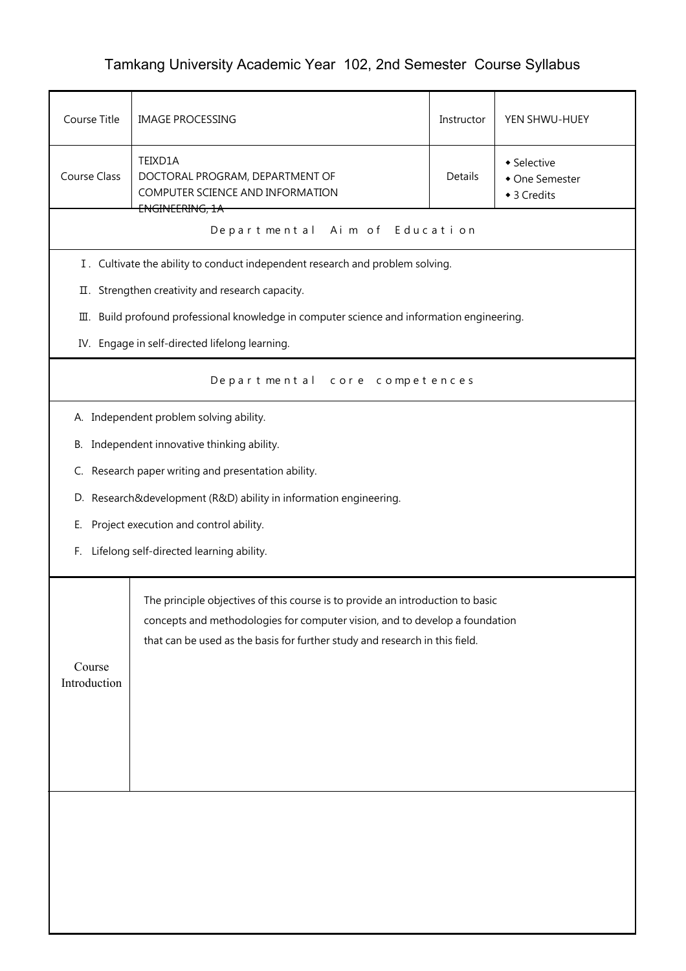## Tamkang University Academic Year 102, 2nd Semester Course Syllabus

| Course Title                                                                                                                                                                                                                                                           | <b>IMAGE PROCESSING</b>                                                                | Instructor | YEN SHWU-HUEY                                |  |  |  |
|------------------------------------------------------------------------------------------------------------------------------------------------------------------------------------------------------------------------------------------------------------------------|----------------------------------------------------------------------------------------|------------|----------------------------------------------|--|--|--|
| Course Class                                                                                                                                                                                                                                                           | TEIXD1A<br>DOCTORAL PROGRAM, DEPARTMENT OF<br>COMPUTER SCIENCE AND INFORMATION         | Details    | • Selective<br>• One Semester<br>◆ 3 Credits |  |  |  |
|                                                                                                                                                                                                                                                                        | ENGINEERING, 1A<br>Aim of Education<br>Departmental                                    |            |                                              |  |  |  |
|                                                                                                                                                                                                                                                                        | I. Cultivate the ability to conduct independent research and problem solving.          |            |                                              |  |  |  |
|                                                                                                                                                                                                                                                                        | II. Strengthen creativity and research capacity.                                       |            |                                              |  |  |  |
| Ш.                                                                                                                                                                                                                                                                     | Build profound professional knowledge in computer science and information engineering. |            |                                              |  |  |  |
|                                                                                                                                                                                                                                                                        | IV. Engage in self-directed lifelong learning.                                         |            |                                              |  |  |  |
|                                                                                                                                                                                                                                                                        | Departmental core competences                                                          |            |                                              |  |  |  |
|                                                                                                                                                                                                                                                                        | A. Independent problem solving ability.                                                |            |                                              |  |  |  |
|                                                                                                                                                                                                                                                                        | B. Independent innovative thinking ability.                                            |            |                                              |  |  |  |
|                                                                                                                                                                                                                                                                        | C. Research paper writing and presentation ability.                                    |            |                                              |  |  |  |
|                                                                                                                                                                                                                                                                        | D. Research&development (R&D) ability in information engineering.                      |            |                                              |  |  |  |
| Ε.                                                                                                                                                                                                                                                                     | Project execution and control ability.                                                 |            |                                              |  |  |  |
| F.                                                                                                                                                                                                                                                                     | Lifelong self-directed learning ability.                                               |            |                                              |  |  |  |
| The principle objectives of this course is to provide an introduction to basic<br>concepts and methodologies for computer vision, and to develop a foundation<br>that can be used as the basis for further study and research in this field.<br>Course<br>Introduction |                                                                                        |            |                                              |  |  |  |
|                                                                                                                                                                                                                                                                        |                                                                                        |            |                                              |  |  |  |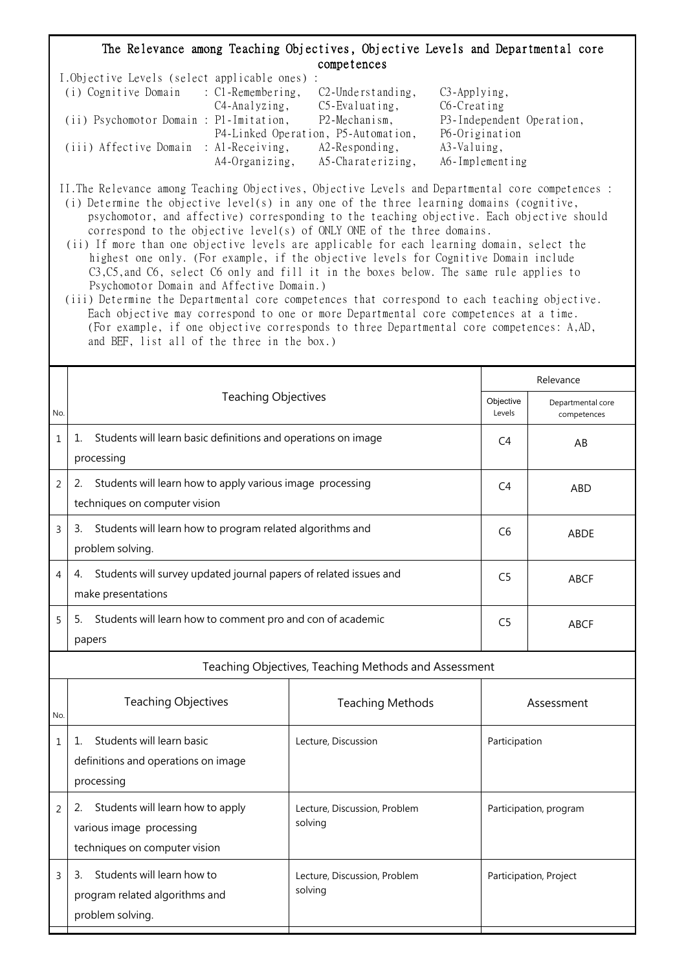## The Relevance among Teaching Objectives, Objective Levels and Departmental core competences

| I.Objective Levels (select applicable ones) : |                |                                     |                           |
|-----------------------------------------------|----------------|-------------------------------------|---------------------------|
| (i) Cognitive Domain : C1-Remembering,        |                | $C2$ -Understanding,                | $C3$ -Applying,           |
|                                               | C4-Analyzing,  | $C5$ -Evaluating,                   | C6-Creating               |
| (ii) Psychomotor Domain : P1-Imitation,       |                | P2-Mechanism,                       | P3-Independent Operation, |
|                                               |                | P4-Linked Operation, P5-Automation, | P6-Origination            |
| (iii) Affective Domain : Al-Receiving,        |                | $A2$ -Responding,                   | A3-Valuing,               |
|                                               | A4-Organizing, | A5-Charaterizing,                   | A6-Implementing           |

II.The Relevance among Teaching Objectives, Objective Levels and Departmental core competences :

 (i) Determine the objective level(s) in any one of the three learning domains (cognitive, psychomotor, and affective) corresponding to the teaching objective. Each objective should correspond to the objective level(s) of ONLY ONE of the three domains.

 (ii) If more than one objective levels are applicable for each learning domain, select the highest one only. (For example, if the objective levels for Cognitive Domain include C3,C5,and C6, select C6 only and fill it in the boxes below. The same rule applies to Psychomotor Domain and Affective Domain.)

 (iii) Determine the Departmental core competences that correspond to each teaching objective. Each objective may correspond to one or more Departmental core competences at a time. (For example, if one objective corresponds to three Departmental core competences: A,AD, and BEF, list all of the three in the box.)

|                |                                                                                                     | Relevance                               |                                  |  |  |  |  |
|----------------|-----------------------------------------------------------------------------------------------------|-----------------------------------------|----------------------------------|--|--|--|--|
| No.            | <b>Teaching Objectives</b>                                                                          | Objective<br>Levels                     | Departmental core<br>competences |  |  |  |  |
| $\mathbf{1}$   | Students will learn basic definitions and operations on image<br>1.<br>processing                   | C <sub>4</sub><br>AB                    |                                  |  |  |  |  |
| $\overline{2}$ | Students will learn how to apply various image processing<br>2.<br>techniques on computer vision    | C <sub>4</sub>                          | <b>ABD</b>                       |  |  |  |  |
| 3              | Students will learn how to program related algorithms and<br>3.<br>problem solving.                 | C <sub>6</sub>                          | <b>ABDE</b>                      |  |  |  |  |
| 4              | Students will survey updated journal papers of related issues and<br>4.<br>make presentations       | C <sub>5</sub>                          | <b>ABCF</b>                      |  |  |  |  |
| 5              | Students will learn how to comment pro and con of academic<br>5.<br>papers                          | C <sub>5</sub>                          | <b>ABCF</b>                      |  |  |  |  |
|                | Teaching Objectives, Teaching Methods and Assessment                                                |                                         |                                  |  |  |  |  |
| No.            | <b>Teaching Objectives</b>                                                                          | <b>Teaching Methods</b>                 | Assessment                       |  |  |  |  |
| $\mathbf{1}$   | Students will learn basic<br>1.<br>definitions and operations on image<br>processing                | Lecture, Discussion                     | Participation                    |  |  |  |  |
| $\overline{2}$ | Students will learn how to apply<br>2.<br>various image processing<br>techniques on computer vision | Lecture, Discussion, Problem<br>solving | Participation, program           |  |  |  |  |
| 3              | Students will learn how to<br>3.<br>program related algorithms and<br>problem solving.              | Lecture, Discussion, Problem<br>solving | Participation, Project           |  |  |  |  |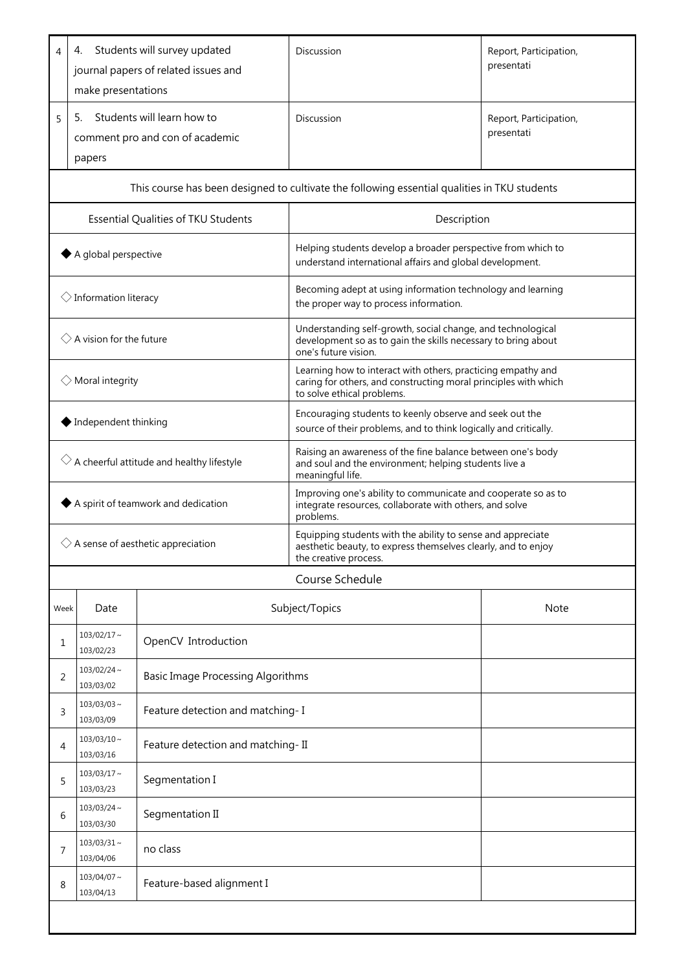| 4                                                    | 4.<br>make presentations                                                                     | Students will survey updated<br>journal papers of related issues and | Discussion                                                                                                                                                    | Report, Participation,<br>presentati |  |  |  |
|------------------------------------------------------|----------------------------------------------------------------------------------------------|----------------------------------------------------------------------|---------------------------------------------------------------------------------------------------------------------------------------------------------------|--------------------------------------|--|--|--|
| 5                                                    | 5.<br>papers                                                                                 | Students will learn how to<br>comment pro and con of academic        | Discussion                                                                                                                                                    | Report, Participation,<br>presentati |  |  |  |
|                                                      | This course has been designed to cultivate the following essential qualities in TKU students |                                                                      |                                                                                                                                                               |                                      |  |  |  |
|                                                      |                                                                                              | Essential Qualities of TKU Students                                  | Description                                                                                                                                                   |                                      |  |  |  |
| A global perspective                                 |                                                                                              |                                                                      | Helping students develop a broader perspective from which to<br>understand international affairs and global development.                                      |                                      |  |  |  |
| $\Diamond$ Information literacy                      |                                                                                              |                                                                      | Becoming adept at using information technology and learning<br>the proper way to process information.                                                         |                                      |  |  |  |
| $\Diamond$ A vision for the future                   |                                                                                              |                                                                      | Understanding self-growth, social change, and technological<br>development so as to gain the skills necessary to bring about<br>one's future vision.          |                                      |  |  |  |
| $\Diamond$ Moral integrity                           |                                                                                              |                                                                      | Learning how to interact with others, practicing empathy and<br>caring for others, and constructing moral principles with which<br>to solve ethical problems. |                                      |  |  |  |
| Independent thinking                                 |                                                                                              |                                                                      | Encouraging students to keenly observe and seek out the<br>source of their problems, and to think logically and critically.                                   |                                      |  |  |  |
| $\Diamond$ A cheerful attitude and healthy lifestyle |                                                                                              |                                                                      | Raising an awareness of the fine balance between one's body<br>and soul and the environment; helping students live a<br>meaningful life.                      |                                      |  |  |  |
| A spirit of teamwork and dedication                  |                                                                                              |                                                                      | Improving one's ability to communicate and cooperate so as to<br>integrate resources, collaborate with others, and solve<br>problems.                         |                                      |  |  |  |
| $\Diamond$ A sense of aesthetic appreciation         |                                                                                              |                                                                      | Equipping students with the ability to sense and appreciate<br>aesthetic beauty, to express themselves clearly, and to enjoy<br>the creative process.         |                                      |  |  |  |
|                                                      | Course Schedule                                                                              |                                                                      |                                                                                                                                                               |                                      |  |  |  |
| Week                                                 | Date                                                                                         |                                                                      | Subject/Topics                                                                                                                                                | <b>Note</b>                          |  |  |  |
| 1                                                    | $103/02/17$ ~<br>103/02/23                                                                   | OpenCV Introduction                                                  |                                                                                                                                                               |                                      |  |  |  |
| 2                                                    | $103/02/24$ ~<br>103/03/02                                                                   | <b>Basic Image Processing Algorithms</b>                             |                                                                                                                                                               |                                      |  |  |  |
| 3                                                    | $103/03/03 \sim$<br>103/03/09                                                                | Feature detection and matching-I                                     |                                                                                                                                                               |                                      |  |  |  |
| 4                                                    | $103/03/10 \sim$<br>103/03/16                                                                | Feature detection and matching-II                                    |                                                                                                                                                               |                                      |  |  |  |
| 5                                                    | $103/03/17$ ~<br>103/03/23                                                                   | Segmentation I                                                       |                                                                                                                                                               |                                      |  |  |  |
| 6                                                    | $103/03/24 \sim$<br>103/03/30                                                                | Segmentation II                                                      |                                                                                                                                                               |                                      |  |  |  |
| 7                                                    | $103/03/31$ ~<br>103/04/06                                                                   | no class                                                             |                                                                                                                                                               |                                      |  |  |  |
| 8                                                    | $103/04/07$ ~<br>103/04/13                                                                   | Feature-based alignment I                                            |                                                                                                                                                               |                                      |  |  |  |
|                                                      |                                                                                              |                                                                      |                                                                                                                                                               |                                      |  |  |  |